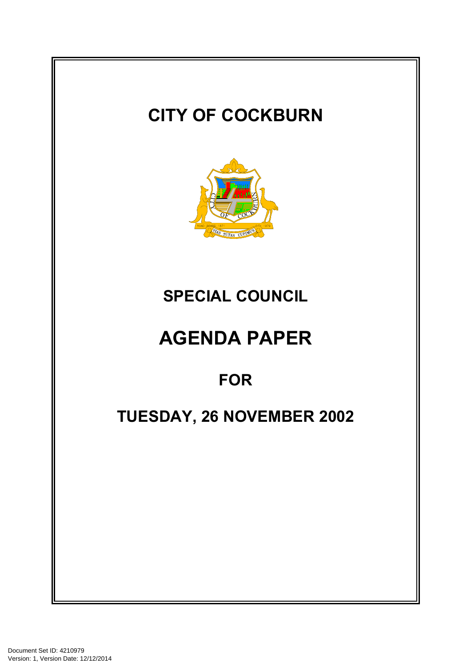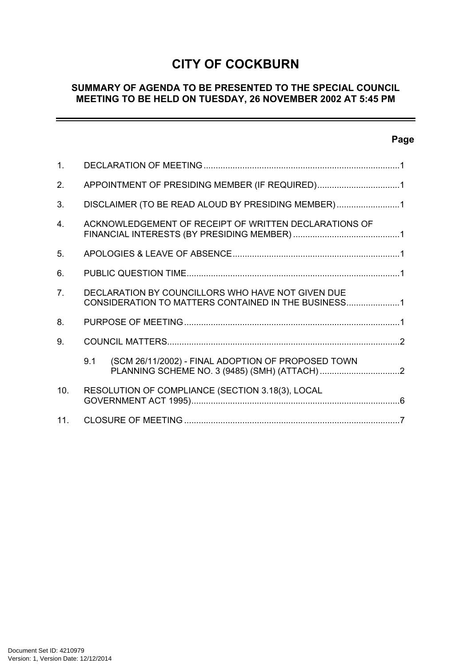# **CITY OF COCKBURN**

## **SUMMARY OF AGENDA TO BE PRESENTED TO THE SPECIAL COUNCIL MEETING TO BE HELD ON TUESDAY, 26 NOVEMBER 2002 AT 5:45 PM**

# **Page**

ш,

| 1.             |                                                                                                          |
|----------------|----------------------------------------------------------------------------------------------------------|
| 2.             | APPOINTMENT OF PRESIDING MEMBER (IF REQUIRED)1                                                           |
| 3.             | DISCLAIMER (TO BE READ ALOUD BY PRESIDING MEMBER)1                                                       |
| 4.             | ACKNOWLEDGEMENT OF RECEIPT OF WRITTEN DECLARATIONS OF                                                    |
| 5.             |                                                                                                          |
| 6.             |                                                                                                          |
| 7 <sub>1</sub> | DECLARATION BY COUNCILLORS WHO HAVE NOT GIVEN DUE<br>CONSIDERATION TO MATTERS CONTAINED IN THE BUSINESS1 |
| 8.             |                                                                                                          |
| 9.             |                                                                                                          |
|                | 9.1<br>(SCM 26/11/2002) - FINAL ADOPTION OF PROPOSED TOWN                                                |
| 10.            | RESOLUTION OF COMPLIANCE (SECTION 3.18(3), LOCAL                                                         |
| 11.            |                                                                                                          |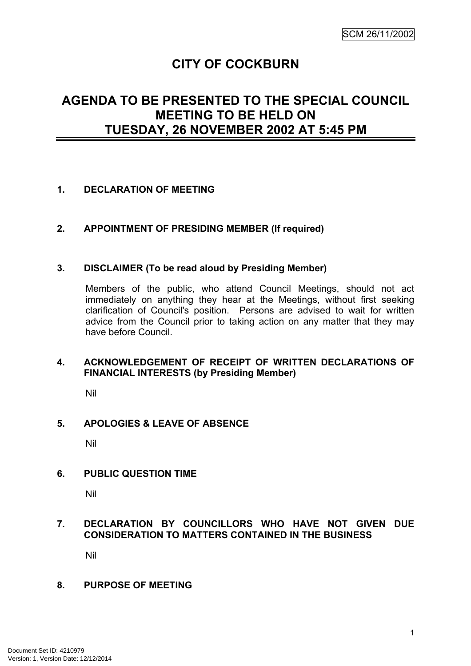# **CITY OF COCKBURN**

# <span id="page-2-0"></span>**AGENDA TO BE PRESENTED TO THE SPECIAL COUNCIL MEETING TO BE HELD ON TUESDAY, 26 NOVEMBER 2002 AT 5:45 PM**

## **1. DECLARATION OF MEETING**

## **2. APPOINTMENT OF PRESIDING MEMBER (If required)**

## **3. DISCLAIMER (To be read aloud by Presiding Member)**

Members of the public, who attend Council Meetings, should not act immediately on anything they hear at the Meetings, without first seeking clarification of Council's position. Persons are advised to wait for written advice from the Council prior to taking action on any matter that they may have before Council.

## **4. ACKNOWLEDGEMENT OF RECEIPT OF WRITTEN DECLARATIONS OF FINANCIAL INTERESTS (by Presiding Member)**

Nil

## **5. APOLOGIES & LEAVE OF ABSENCE**

Nil

## **6. PUBLIC QUESTION TIME**

Nil

# **7. DECLARATION BY COUNCILLORS WHO HAVE NOT GIVEN DUE CONSIDERATION TO MATTERS CONTAINED IN THE BUSINESS**

Nil

## **8. PURPOSE OF MEETING**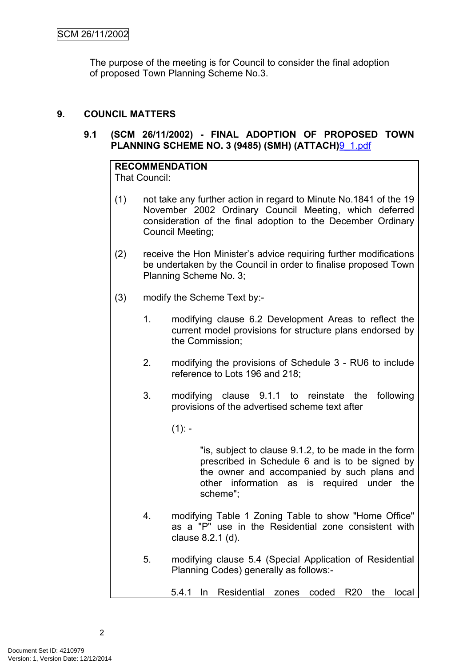<span id="page-3-0"></span>The purpose of the meeting is for Council to consider the final adoption of proposed Town Planning Scheme No.3.

## **9. COUNCIL MATTERS**

## **9.1 (SCM 26/11/2002) - FINAL ADOPTION OF PROPOSED TOWN PLANNING SCHEME NO. 3 (9485) (SMH) (ATTACH)**9\_1.pdf

#### **RECOMMENDATION** That Council:

- (1) not take any further action in regard to Minute No.1841 of the 19 November 2002 Ordinary Council Meeting, which deferred consideration of the final adoption to the December Ordinary Council Meeting;
- (2) receive the Hon Minister's advice requiring further modifications be undertaken by the Council in order to finalise proposed Town Planning Scheme No. 3;
- (3) modify the Scheme Text by:-
	- 1. modifying clause 6.2 Development Areas to reflect the current model provisions for structure plans endorsed by the Commission;
	- 2. modifying the provisions of Schedule 3 RU6 to include reference to Lots 196 and 218;
	- 3. modifying clause 9.1.1 to reinstate the following provisions of the advertised scheme text after
		- $(1):$

"is, subject to clause 9.1.2, to be made in the form prescribed in Schedule 6 and is to be signed by the owner and accompanied by such plans and other information as is required under the scheme";

- 4. modifying Table 1 Zoning Table to show "Home Office" as a "P" use in the Residential zone consistent with clause 8.2.1 (d).
- 5. modifying clause 5.4 (Special Application of Residential Planning Codes) generally as follows:-
	- 5.4.1 In Residential zones coded R20 the local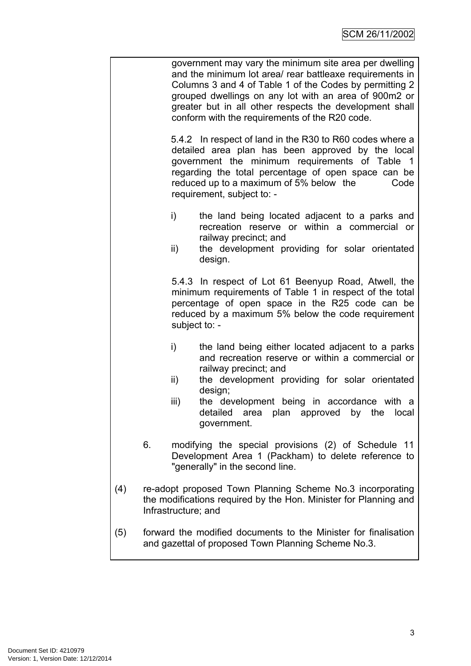| government may vary the minimum site area per dwelling   |
|----------------------------------------------------------|
| and the minimum lot area/ rear battleaxe requirements in |
| Columns 3 and 4 of Table 1 of the Codes by permitting 2  |
| grouped dwellings on any lot with an area of 900m2 or    |
| greater but in all other respects the development shall  |
| conform with the requirements of the R20 code.           |

5.4.2 In respect of land in the R30 to R60 codes where a detailed area plan has been approved by the local government the minimum requirements of Table 1 regarding the total percentage of open space can be reduced up to a maximum of 5% below the Code requirement, subject to: -

- i) the land being located adjacent to a parks and recreation reserve or within a commercial or railway precinct; and
- ii) the development providing for solar orientated design.

5.4.3 In respect of Lot 61 Beenyup Road, Atwell, the minimum requirements of Table 1 in respect of the total percentage of open space in the R25 code can be reduced by a maximum 5% below the code requirement subject to: -

- i) the land being either located adjacent to a parks and recreation reserve or within a commercial or railway precinct; and
- ii) the development providing for solar orientated design;
- iii) the development being in accordance with a detailed area plan approved by the local government.
- 6. modifying the special provisions (2) of Schedule 11 Development Area 1 (Packham) to delete reference to "generally" in the second line.
- (4) re-adopt proposed Town Planning Scheme No.3 incorporating the modifications required by the Hon. Minister for Planning and Infrastructure; and
- (5) forward the modified documents to the Minister for finalisation and gazettal of proposed Town Planning Scheme No.3.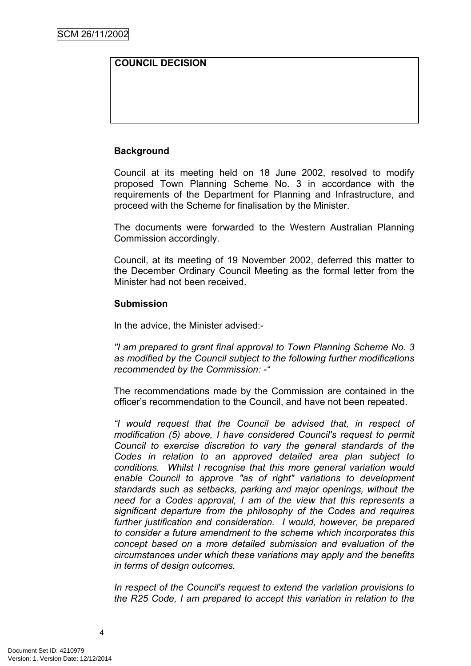# **COUNCIL DECISION**

## **Background**

Council at its meeting held on 18 June 2002, resolved to modify proposed Town Planning Scheme No. 3 in accordance with the requirements of the Department for Planning and Infrastructure, and proceed with the Scheme for finalisation by the Minister.

The documents were forwarded to the Western Australian Planning Commission accordingly.

Council, at its meeting of 19 November 2002, deferred this matter to the December Ordinary Council Meeting as the formal letter from the Minister had not been received.

#### **Submission**

In the advice, the Minister advised:-

*"I am prepared to grant final approval to Town Planning Scheme No. 3 as modified by the Council subject to the following further modifications recommended by the Commission: -"* 

The recommendations made by the Commission are contained in the officer's recommendation to the Council, and have not been repeated.

*"I would request that the Council be advised that, in respect of modification (5) above, I have considered Council's request to permit Council to exercise discretion to vary the general standards of the Codes in relation to an approved detailed area plan subject to conditions. Whilst I recognise that this more general variation would enable Council to approve "as of right" variations to development standards such as setbacks, parking and major openings, without the need for a Codes approval, I am of the view that this represents a significant departure from the philosophy of the Codes and requires further justification and consideration. I would, however, be prepared to consider a future amendment to the scheme which incorporates this concept based on a more detailed submission and evaluation of the circumstances under which these variations may apply and the benefits in terms of design outcomes.* 

*In respect of the Council's request to extend the variation provisions to the R25 Code, I am prepared to accept this variation in relation to the*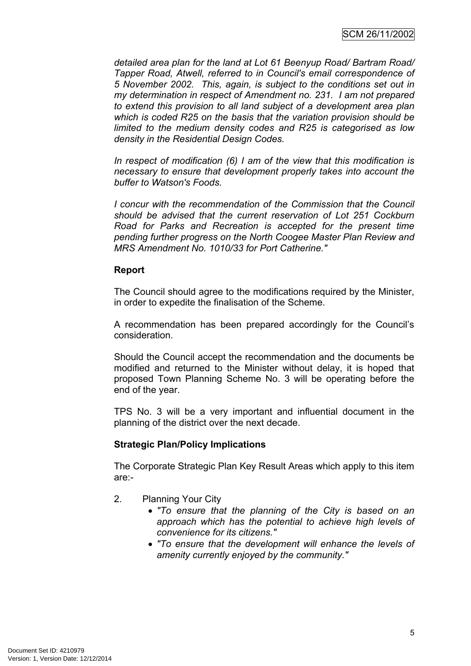*detailed area plan for the land at Lot 61 Beenyup Road/ Bartram Road/ Tapper Road, Atwell, referred to in Council's email correspondence of 5 November 2002. This, again, is subject to the conditions set out in my determination in respect of Amendment no. 231. I am not prepared to extend this provision to all land subject of a development area plan which is coded R25 on the basis that the variation provision should be limited to the medium density codes and R25 is categorised as low density in the Residential Design Codes.* 

*In respect of modification (6) I am of the view that this modification is necessary to ensure that development properly takes into account the buffer to Watson's Foods.*

*I concur with the recommendation of the Commission that the Council should be advised that the current reservation of Lot 251 Cockburn Road for Parks and Recreation is accepted for the present time pending further progress on the North Coogee Master Plan Review and MRS Amendment No. 1010/33 for Port Catherine."* 

## **Report**

The Council should agree to the modifications required by the Minister, in order to expedite the finalisation of the Scheme.

A recommendation has been prepared accordingly for the Council's consideration.

Should the Council accept the recommendation and the documents be modified and returned to the Minister without delay, it is hoped that proposed Town Planning Scheme No. 3 will be operating before the end of the year.

TPS No. 3 will be a very important and influential document in the planning of the district over the next decade.

## **Strategic Plan/Policy Implications**

The Corporate Strategic Plan Key Result Areas which apply to this item are:-

- 2. Planning Your City
	- *"To ensure that the planning of the City is based on an approach which has the potential to achieve high levels of convenience for its citizens."*
	- *"To ensure that the development will enhance the levels of amenity currently enjoyed by the community."*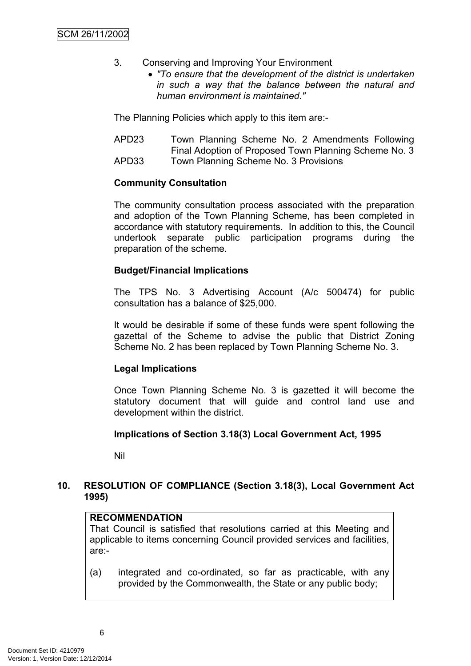- <span id="page-7-0"></span>3. Conserving and Improving Your Environment
	- *"To ensure that the development of the district is undertaken in such a way that the balance between the natural and human environment is maintained."*

The Planning Policies which apply to this item are:-

APD23 Town Planning Scheme No. 2 Amendments Following Final Adoption of Proposed Town Planning Scheme No. 3 APD33 Town Planning Scheme No. 3 Provisions

## **Community Consultation**

The community consultation process associated with the preparation and adoption of the Town Planning Scheme, has been completed in accordance with statutory requirements. In addition to this, the Council undertook separate public participation programs during the preparation of the scheme.

## **Budget/Financial Implications**

The TPS No. 3 Advertising Account (A/c 500474) for public consultation has a balance of \$25,000.

It would be desirable if some of these funds were spent following the gazettal of the Scheme to advise the public that District Zoning Scheme No. 2 has been replaced by Town Planning Scheme No. 3.

## **Legal Implications**

Once Town Planning Scheme No. 3 is gazetted it will become the statutory document that will guide and control land use and development within the district.

## **Implications of Section 3.18(3) Local Government Act, 1995**

Nil

## **10. RESOLUTION OF COMPLIANCE (Section 3.18(3), Local Government Act 1995)**

# **RECOMMENDATION**

That Council is satisfied that resolutions carried at this Meeting and applicable to items concerning Council provided services and facilities, are:-

(a) integrated and co-ordinated, so far as practicable, with any provided by the Commonwealth, the State or any public body;